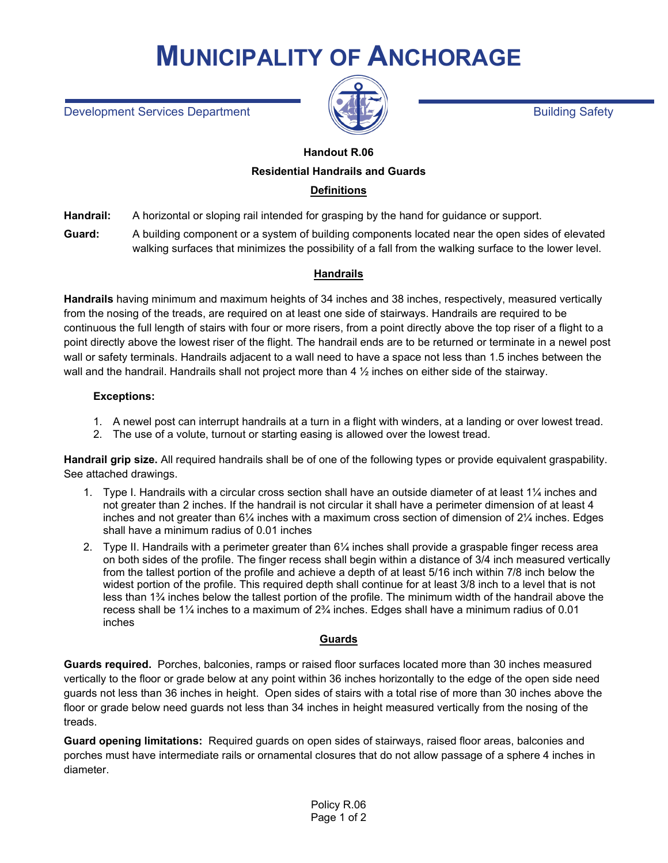# **MUNICIPALITY OF ANCHORAGE**

Development Services Department Building Safety



# **Handout R.06 Residential Handrails and Guards**

## **Definitions**

**Handrail:** A horizontal or sloping rail intended for grasping by the hand for guidance or support.

**Guard:** A building component or a system of building components located near the open sides of elevated walking surfaces that minimizes the possibility of a fall from the walking surface to the lower level.

## **Handrails**

**Handrails** having minimum and maximum heights of 34 inches and 38 inches, respectively, measured vertically from the nosing of the treads, are required on at least one side of stairways. Handrails are required to be continuous the full length of stairs with four or more risers, from a point directly above the top riser of a flight to a point directly above the lowest riser of the flight. The handrail ends are to be returned or terminate in a newel post wall or safety terminals. Handrails adjacent to a wall need to have a space not less than 1.5 inches between the wall and the handrail. Handrails shall not project more than 4  $\frac{1}{2}$  inches on either side of the stairway.

#### **Exceptions:**

- 1. A newel post can interrupt handrails at a turn in a flight with winders, at a landing or over lowest tread.
- 2. The use of a volute, turnout or starting easing is allowed over the lowest tread.

**Handrail grip size.** All required handrails shall be of one of the following types or provide equivalent graspability. See attached drawings.

- 1. Type I. Handrails with a circular cross section shall have an outside diameter of at least 1¼ inches and not greater than 2 inches. If the handrail is not circular it shall have a perimeter dimension of at least 4 inches and not greater than  $6\frac{1}{4}$  inches with a maximum cross section of dimension of  $2\frac{1}{4}$  inches. Edges shall have a minimum radius of 0.01 inches
- 2. Type II. Handrails with a perimeter greater than 6¼ inches shall provide a graspable finger recess area on both sides of the profile. The finger recess shall begin within a distance of 3/4 inch measured vertically from the tallest portion of the profile and achieve a depth of at least 5/16 inch within 7/8 inch below the widest portion of the profile. This required depth shall continue for at least 3/8 inch to a level that is not less than 1¾ inches below the tallest portion of the profile. The minimum width of the handrail above the recess shall be 1¼ inches to a maximum of 2¾ inches. Edges shall have a minimum radius of 0.01 inches

### **Guards**

**Guards required.** Porches, balconies, ramps or raised floor surfaces located more than 30 inches measured vertically to the floor or grade below at any point within 36 inches horizontally to the edge of the open side need guards not less than 36 inches in height. Open sides of stairs with a total rise of more than 30 inches above the floor or grade below need guards not less than 34 inches in height measured vertically from the nosing of the treads.

**Guard opening limitations:** Required guards on open sides of stairways, raised floor areas, balconies and porches must have intermediate rails or ornamental closures that do not allow passage of a sphere 4 inches in diameter.